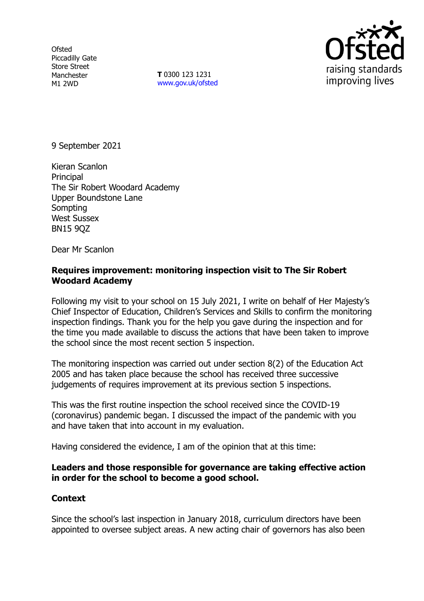**Ofsted** Piccadilly Gate Store Street Manchester M1 2WD

**T** 0300 123 1231 [www.gov.uk/ofsted](http://www.gov.uk/ofsted)



9 September 2021

Kieran Scanlon **Principal** The Sir Robert Woodard Academy Upper Boundstone Lane Sompting West Sussex BN15 9QZ

Dear Mr Scanlon

### **Requires improvement: monitoring inspection visit to The Sir Robert Woodard Academy**

Following my visit to your school on 15 July 2021, I write on behalf of Her Majesty's Chief Inspector of Education, Children's Services and Skills to confirm the monitoring inspection findings. Thank you for the help you gave during the inspection and for the time you made available to discuss the actions that have been taken to improve the school since the most recent section 5 inspection.

The monitoring inspection was carried out under section 8(2) of the Education Act 2005 and has taken place because the school has received three successive judgements of requires improvement at its previous section 5 inspections.

This was the first routine inspection the school received since the COVID-19 (coronavirus) pandemic began. I discussed the impact of the pandemic with you and have taken that into account in my evaluation.

Having considered the evidence, I am of the opinion that at this time:

## **Leaders and those responsible for governance are taking effective action in order for the school to become a good school.**

## **Context**

Since the school's last inspection in January 2018, curriculum directors have been appointed to oversee subject areas. A new acting chair of governors has also been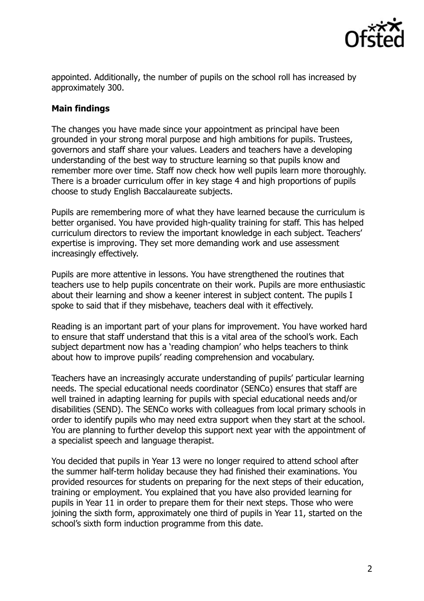

appointed. Additionally, the number of pupils on the school roll has increased by approximately 300.

# **Main findings**

The changes you have made since your appointment as principal have been grounded in your strong moral purpose and high ambitions for pupils. Trustees, governors and staff share your values. Leaders and teachers have a developing understanding of the best way to structure learning so that pupils know and remember more over time. Staff now check how well pupils learn more thoroughly. There is a broader curriculum offer in key stage 4 and high proportions of pupils choose to study English Baccalaureate subjects.

Pupils are remembering more of what they have learned because the curriculum is better organised. You have provided high-quality training for staff. This has helped curriculum directors to review the important knowledge in each subject. Teachers' expertise is improving. They set more demanding work and use assessment increasingly effectively.

Pupils are more attentive in lessons. You have strengthened the routines that teachers use to help pupils concentrate on their work. Pupils are more enthusiastic about their learning and show a keener interest in subject content. The pupils I spoke to said that if they misbehave, teachers deal with it effectively.

Reading is an important part of your plans for improvement. You have worked hard to ensure that staff understand that this is a vital area of the school's work. Each subject department now has a 'reading champion' who helps teachers to think about how to improve pupils' reading comprehension and vocabulary.

Teachers have an increasingly accurate understanding of pupils' particular learning needs. The special educational needs coordinator (SENCo) ensures that staff are well trained in adapting learning for pupils with special educational needs and/or disabilities (SEND). The SENCo works with colleagues from local primary schools in order to identify pupils who may need extra support when they start at the school. You are planning to further develop this support next year with the appointment of a specialist speech and language therapist.

You decided that pupils in Year 13 were no longer required to attend school after the summer half-term holiday because they had finished their examinations. You provided resources for students on preparing for the next steps of their education, training or employment. You explained that you have also provided learning for pupils in Year 11 in order to prepare them for their next steps. Those who were joining the sixth form, approximately one third of pupils in Year 11, started on the school's sixth form induction programme from this date.